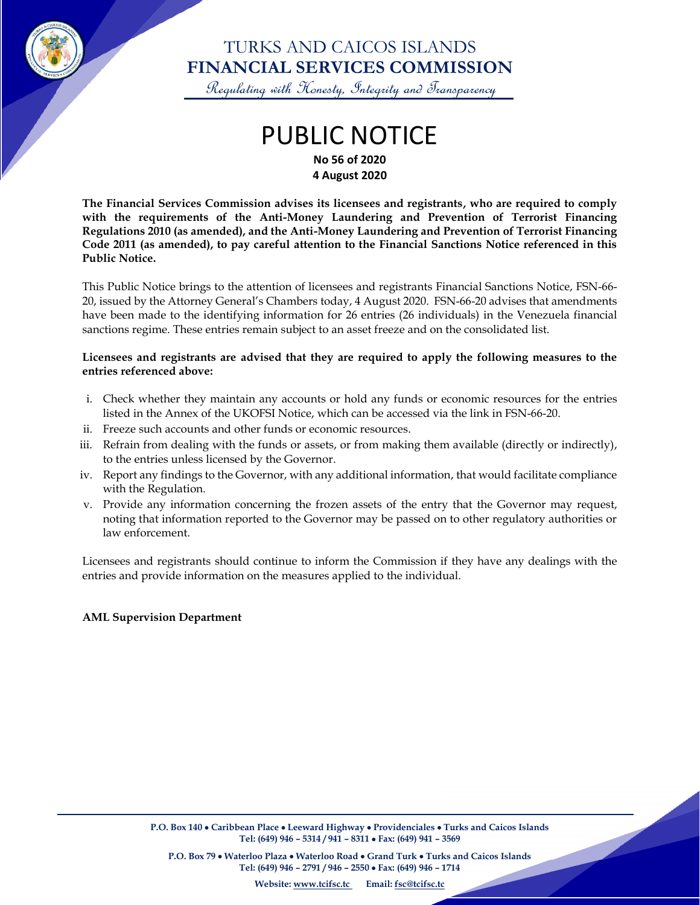

### TURKS AND CAICOS ISLANDS **FINANCIAL SERVICES COMMISSION**

Regulating with Honesty, Integrity and Transparency

# PUBLIC NOTICE **No 56 of 2020**

**4 August 2020**

**The Financial Services Commission advises its licensees and registrants, who are required to comply with the requirements of the Anti-Money Laundering and Prevention of Terrorist Financing Regulations 2010 (as amended), and the Anti-Money Laundering and Prevention of Terrorist Financing Code 2011 (as amended), to pay careful attention to the Financial Sanctions Notice referenced in this Public Notice.**

This Public Notice brings to the attention of licensees and registrants Financial Sanctions Notice, FSN-66- 20, issued by the Attorney General's Chambers today, 4 August 2020. FSN-66-20 advises that amendments have been made to the identifying information for 26 entries (26 individuals) in the Venezuela financial sanctions regime. These entries remain subject to an asset freeze and on the consolidated list.

#### **Licensees and registrants are advised that they are required to apply the following measures to the entries referenced above:**

- i. Check whether they maintain any accounts or hold any funds or economic resources for the entries listed in the Annex of the UKOFSI Notice, which can be accessed via the link in FSN-66-20.
- ii. Freeze such accounts and other funds or economic resources.
- iii. Refrain from dealing with the funds or assets, or from making them available (directly or indirectly), to the entries unless licensed by the Governor.
- iv. Report any findings to the Governor, with any additional information, that would facilitate compliance with the Regulation.
- v. Provide any information concerning the frozen assets of the entry that the Governor may request, noting that information reported to the Governor may be passed on to other regulatory authorities or law enforcement.

Licensees and registrants should continue to inform the Commission if they have any dealings with the entries and provide information on the measures applied to the individual.

#### **AML Supervision Department**

 $\overline{\phantom{a}}$